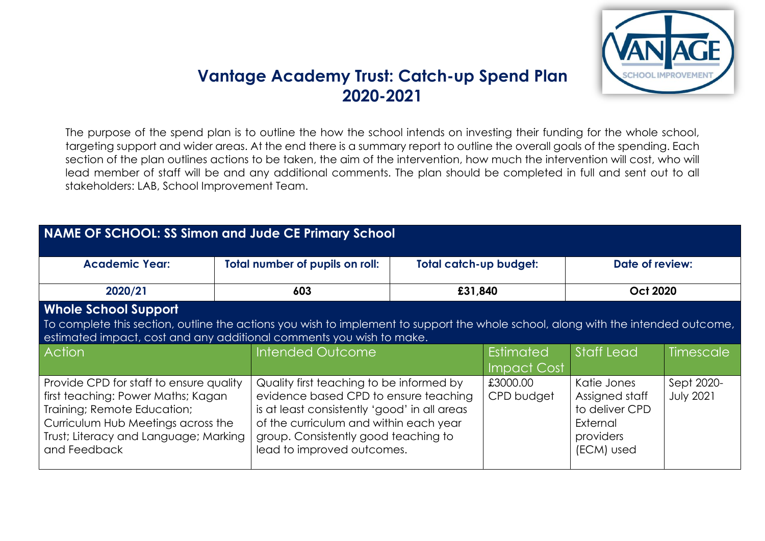

## **Vantage Academy Trust: Catch-up Spend Plan 2020-2021**

The purpose of the spend plan is to outline the how the school intends on investing their funding for the whole school, targeting support and wider areas. At the end there is a summary report to outline the overall goals of the spending. Each section of the plan outlines actions to be taken, the aim of the intervention, how much the intervention will cost, who will lead member of staff will be and any additional comments. The plan should be completed in full and sent out to all stakeholders: LAB, School Improvement Team.

## **NAME OF SCHOOL: SS Simon and Jude CE Primary School**

| <b>Academic Year:</b> | Total number of pupils on roll: | Total catch-up budget: | Date of review: |
|-----------------------|---------------------------------|------------------------|-----------------|
| 2020/21               | 603                             | £31,840                | <b>Oct 2020</b> |

## **Whole School Support**

To complete this section, outline the actions you wish to implement to support the whole school, along with the intended outcome, estimated impact, cost and any additional comments you wish to make.

| <b>Action</b>                                                                                                                                                                                               | Intended Outcome                                                                                                                                                                                                                                  | Estimated              | <b>Staff Lead</b>                                                                      | <b>Timescale</b>               |
|-------------------------------------------------------------------------------------------------------------------------------------------------------------------------------------------------------------|---------------------------------------------------------------------------------------------------------------------------------------------------------------------------------------------------------------------------------------------------|------------------------|----------------------------------------------------------------------------------------|--------------------------------|
|                                                                                                                                                                                                             |                                                                                                                                                                                                                                                   | Impact Cost            |                                                                                        |                                |
| Provide CPD for staff to ensure quality<br>first teaching: Power Maths; Kagan<br>Training; Remote Education;<br>Curriculum Hub Meetings across the<br>Trust; Literacy and Language; Marking<br>and Feedback | Quality first teaching to be informed by<br>evidence based CPD to ensure teaching<br>is at least consistently 'good' in all areas<br>of the curriculum and within each year<br>group. Consistently good teaching to<br>lead to improved outcomes. | £3000.00<br>CPD budget | Katie Jones<br>Assigned staff<br>to deliver CPD<br>External<br>providers<br>(ECM) used | Sept 2020-<br><b>July 2021</b> |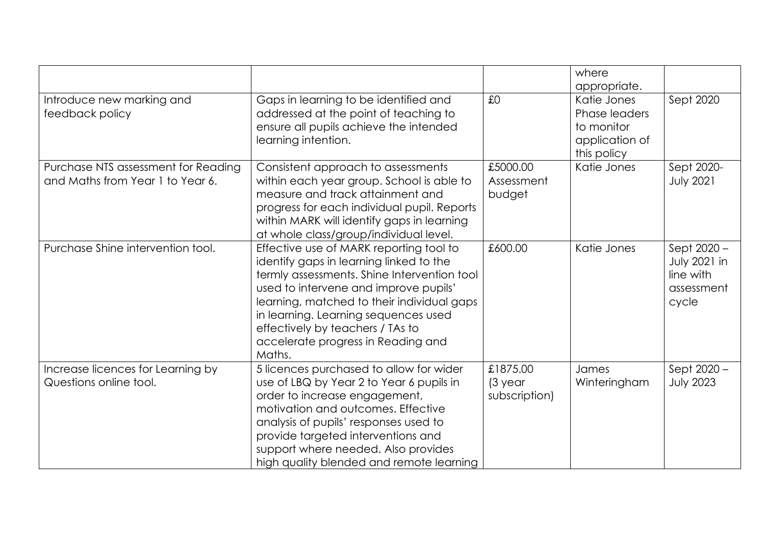|                                                                         |                                                                                                                                                                                                                                                                                                                                                      |                                      | where<br>appropriate.                                                       |                                                                 |
|-------------------------------------------------------------------------|------------------------------------------------------------------------------------------------------------------------------------------------------------------------------------------------------------------------------------------------------------------------------------------------------------------------------------------------------|--------------------------------------|-----------------------------------------------------------------------------|-----------------------------------------------------------------|
| Introduce new marking and<br>feedback policy                            | Gaps in learning to be identified and<br>addressed at the point of teaching to<br>ensure all pupils achieve the intended<br>learning intention.                                                                                                                                                                                                      | £0                                   | Katie Jones<br>Phase leaders<br>to monitor<br>application of<br>this policy | Sept 2020                                                       |
| Purchase NTS assessment for Reading<br>and Maths from Year 1 to Year 6. | Consistent approach to assessments<br>within each year group. School is able to<br>measure and track attainment and<br>progress for each individual pupil. Reports<br>within MARK will identify gaps in learning<br>at whole class/group/individual level.                                                                                           | £5000.00<br>Assessment<br>budget     | Katie Jones                                                                 | Sept 2020-<br><b>July 2021</b>                                  |
| Purchase Shine intervention tool.                                       | Effective use of MARK reporting tool to<br>identify gaps in learning linked to the<br>termly assessments. Shine Intervention tool<br>used to intervene and improve pupils'<br>learning, matched to their individual gaps<br>in learning. Learning sequences used<br>effectively by teachers / TAs to<br>accelerate progress in Reading and<br>Maths. | £600.00                              | Katie Jones                                                                 | Sept 2020 -<br>July 2021 in<br>line with<br>assessment<br>cycle |
| Increase licences for Learning by<br>Questions online tool.             | 5 licences purchased to allow for wider<br>use of LBQ by Year 2 to Year 6 pupils in<br>order to increase engagement,<br>motivation and outcomes. Effective<br>analysis of pupils' responses used to<br>provide targeted interventions and<br>support where needed. Also provides<br>high quality blended and remote learning                         | £1875.00<br>(3 year<br>subscription) | James<br>Winteringham                                                       | Sept 2020 -<br><b>July 2023</b>                                 |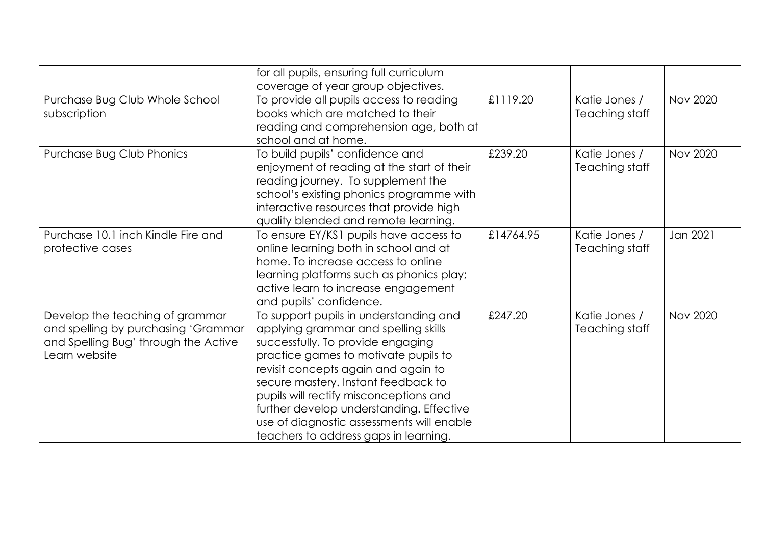|                                                                                                                                 | for all pupils, ensuring full curriculum<br>coverage of year group objectives.                                                                                                                                                                                                                                                                                                                                        |           |                                 |                 |
|---------------------------------------------------------------------------------------------------------------------------------|-----------------------------------------------------------------------------------------------------------------------------------------------------------------------------------------------------------------------------------------------------------------------------------------------------------------------------------------------------------------------------------------------------------------------|-----------|---------------------------------|-----------------|
| Purchase Bug Club Whole School<br>subscription                                                                                  | To provide all pupils access to reading<br>books which are matched to their<br>reading and comprehension age, both at<br>school and at home.                                                                                                                                                                                                                                                                          | £1119.20  | Katie Jones /<br>Teaching staff | <b>Nov 2020</b> |
| Purchase Bug Club Phonics                                                                                                       | To build pupils' confidence and<br>enjoyment of reading at the start of their<br>reading journey. To supplement the<br>school's existing phonics programme with<br>interactive resources that provide high<br>quality blended and remote learning.                                                                                                                                                                    | £239.20   | Katie Jones /<br>Teaching staff | <b>Nov 2020</b> |
| Purchase 10.1 inch Kindle Fire and<br>protective cases                                                                          | To ensure EY/KS1 pupils have access to<br>online learning both in school and at<br>home. To increase access to online<br>learning platforms such as phonics play;<br>active learn to increase engagement<br>and pupils' confidence.                                                                                                                                                                                   | £14764.95 | Katie Jones /<br>Teaching staff | Jan 2021        |
| Develop the teaching of grammar<br>and spelling by purchasing 'Grammar<br>and Spelling Bug' through the Active<br>Learn website | To support pupils in understanding and<br>applying grammar and spelling skills<br>successfully. To provide engaging<br>practice games to motivate pupils to<br>revisit concepts again and again to<br>secure mastery. Instant feedback to<br>pupils will rectify misconceptions and<br>further develop understanding. Effective<br>use of diagnostic assessments will enable<br>teachers to address gaps in learning. | £247.20   | Katie Jones /<br>Teaching staff | <b>Nov 2020</b> |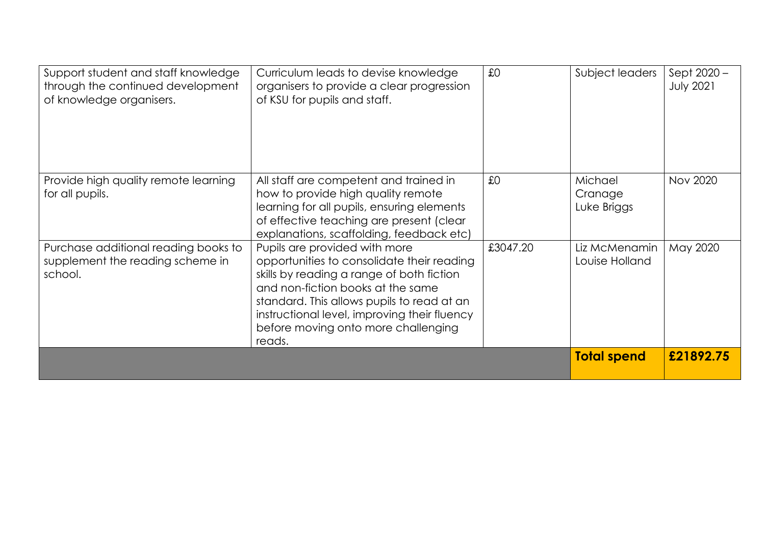| Support student and staff knowledge<br>through the continued development<br>of knowledge organisers. | Curriculum leads to devise knowledge<br>organisers to provide a clear progression<br>of KSU for pupils and staff.                                                                                                                                                                                            | £0       | Subject leaders                   | Sept 2020 -<br><b>July 2021</b> |
|------------------------------------------------------------------------------------------------------|--------------------------------------------------------------------------------------------------------------------------------------------------------------------------------------------------------------------------------------------------------------------------------------------------------------|----------|-----------------------------------|---------------------------------|
| Provide high quality remote learning<br>for all pupils.                                              | All staff are competent and trained in<br>how to provide high quality remote<br>learning for all pupils, ensuring elements<br>of effective teaching are present (clear<br>explanations, scaffolding, feedback etc)                                                                                           | £0       | Michael<br>Cranage<br>Luke Briggs | Nov 2020                        |
| Purchase additional reading books to<br>supplement the reading scheme in<br>school.                  | Pupils are provided with more<br>opportunities to consolidate their reading<br>skills by reading a range of both fiction<br>and non-fiction books at the same<br>standard. This allows pupils to read at an<br>instructional level, improving their fluency<br>before moving onto more challenging<br>reads. | £3047.20 | Liz McMenamin<br>Louise Holland   | May 2020                        |
|                                                                                                      |                                                                                                                                                                                                                                                                                                              |          | <b>Total spend</b>                | £21892.75                       |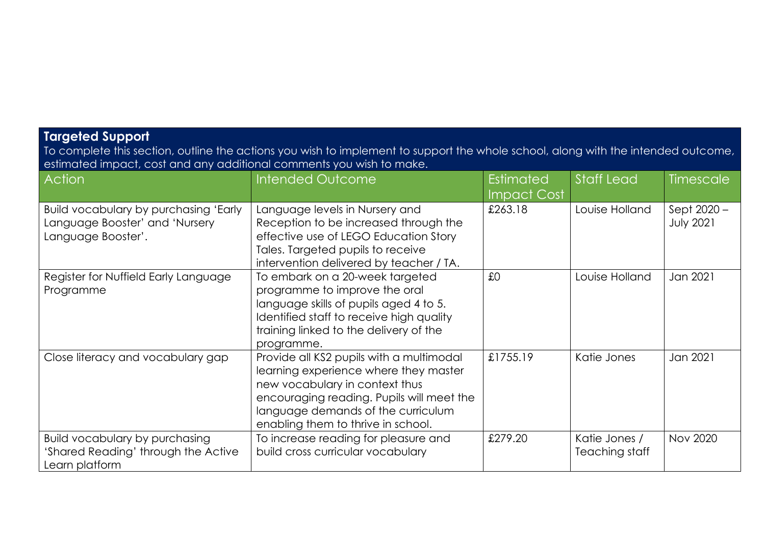## **Targeted Support**

To complete this section, outline the actions you wish to implement to support the whole school, along with the intended outcome, estimated impact, cost and any additional comments you wish to make.

| Action                                                                                        | Intended Outcome                                                                                                                                                                                                                             | Estimated<br><b>Impact Cost</b> | <b>Staff Lead</b>               | Timescale                       |
|-----------------------------------------------------------------------------------------------|----------------------------------------------------------------------------------------------------------------------------------------------------------------------------------------------------------------------------------------------|---------------------------------|---------------------------------|---------------------------------|
| Build vocabulary by purchasing 'Early<br>Language Booster' and 'Nursery<br>Language Booster'. | Language levels in Nursery and<br>Reception to be increased through the<br>effective use of LEGO Education Story<br>Tales. Targeted pupils to receive<br>intervention delivered by teacher / TA.                                             | £263.18                         | Louise Holland                  | Sept 2020 -<br><b>July 2021</b> |
| Register for Nuffield Early Language<br>Programme                                             | To embark on a 20-week targeted<br>programme to improve the oral<br>language skills of pupils aged 4 to 5.<br>Identified staff to receive high quality<br>training linked to the delivery of the<br>programme.                               | £0                              | Louise Holland                  | Jan 2021                        |
| Close literacy and vocabulary gap                                                             | Provide all KS2 pupils with a multimodal<br>learning experience where they master<br>new vocabulary in context thus<br>encouraging reading. Pupils will meet the<br>language demands of the curriculum<br>enabling them to thrive in school. | £1755.19                        | Katie Jones                     | Jan 2021                        |
| Build vocabulary by purchasing<br>'Shared Reading' through the Active<br>Learn platform       | To increase reading for pleasure and<br>build cross curricular vocabulary                                                                                                                                                                    | £279.20                         | Katie Jones /<br>Teaching staff | <b>Nov 2020</b>                 |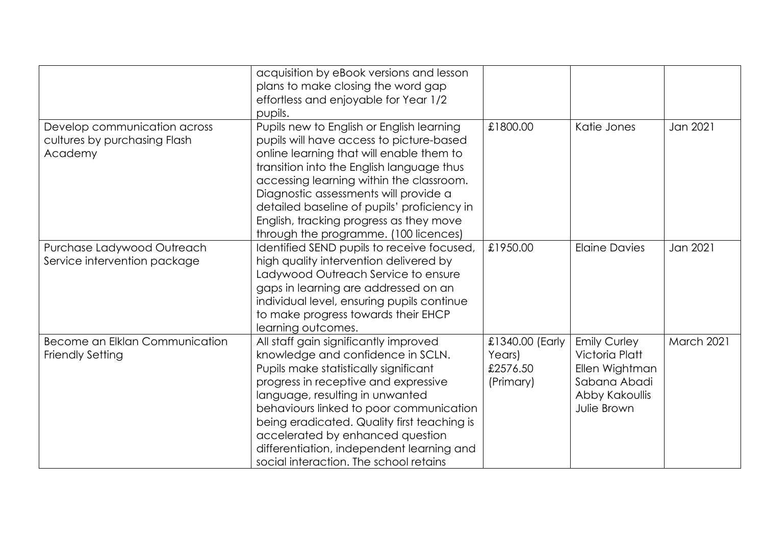|                                                                         | acquisition by eBook versions and lesson<br>plans to make closing the word gap<br>effortless and enjoyable for Year 1/2<br>pupils.                                                                                                                                                                                                                                                                                  |                                                    |                                                                                                                 |            |
|-------------------------------------------------------------------------|---------------------------------------------------------------------------------------------------------------------------------------------------------------------------------------------------------------------------------------------------------------------------------------------------------------------------------------------------------------------------------------------------------------------|----------------------------------------------------|-----------------------------------------------------------------------------------------------------------------|------------|
| Develop communication across<br>cultures by purchasing Flash<br>Academy | Pupils new to English or English learning<br>pupils will have access to picture-based<br>online learning that will enable them to<br>transition into the English language thus<br>accessing learning within the classroom.<br>Diagnostic assessments will provide a<br>detailed baseline of pupils' proficiency in<br>English, tracking progress as they move<br>through the programme. (100 licences)              | £1800.00                                           | Katie Jones                                                                                                     | Jan 2021   |
| Purchase Ladywood Outreach<br>Service intervention package              | Identified SEND pupils to receive focused,<br>high quality intervention delivered by<br>Ladywood Outreach Service to ensure<br>gaps in learning are addressed on an<br>individual level, ensuring pupils continue<br>to make progress towards their EHCP<br>learning outcomes.                                                                                                                                      | £1950.00                                           | <b>Elaine Davies</b>                                                                                            | Jan 2021   |
| Become an Elklan Communication<br>Friendly Setting                      | All staff gain significantly improved<br>knowledge and confidence in SCLN.<br>Pupils make statistically significant<br>progress in receptive and expressive<br>language, resulting in unwanted<br>behaviours linked to poor communication<br>being eradicated. Quality first teaching is<br>accelerated by enhanced question<br>differentiation, independent learning and<br>social interaction. The school retains | £1340.00 (Early<br>Years)<br>£2576.50<br>(Primary) | <b>Emily Curley</b><br><b>Victoria Platt</b><br>Ellen Wightman<br>Sabana Abadi<br>Abby Kakoullis<br>Julie Brown | March 2021 |